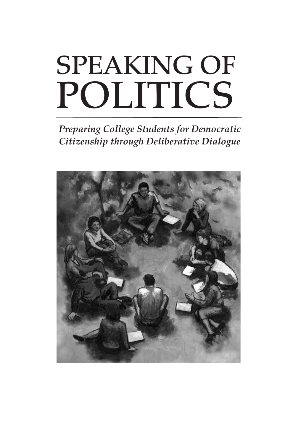# **SPEAKING OF POLITICS**

*Preparing College Students for Democratic Citizenship through Deliberative Dialogue*

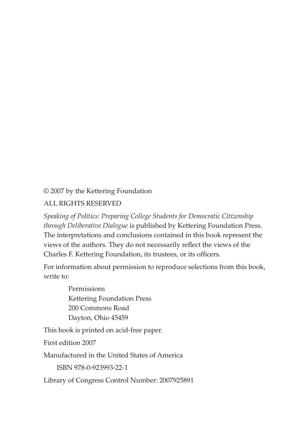#### © 2007 by the Kettering Foundation

#### ALL RIGHTS RESERVED

*Speaking of Politics: Preparing College Students for Democratic Citizenship through Deliberative Dialogue* is published by Kettering Foundation Press. The interpretations and conclusions contained in this book represent the views of the authors. They do not necessarily reflect the views of the Charles F. Kettering Foundation, its trustees, or its officers.

For information about permission to reproduce selections from this book, write to:

> Permissions Kettering Foundation Press 200 Commons Road Dayton, Ohio 45459

This book is printed on acid-free paper.

First edition 2007

Manufactured in the United States of America

ISBN 978-0-923993-22-1

Library of Congress Control Number: 2007925891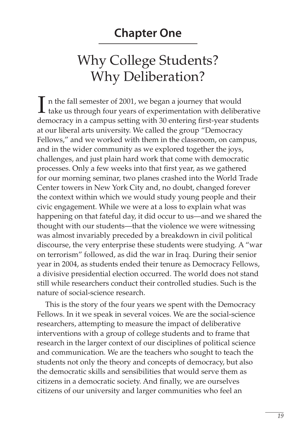### **Chapter One**

## Why College Students? Why Deliberation?

n the fall semester of 2001, we began a journey that would  $\prod$  n the fall semester of 2001, we began a journey that would<br>take us through four years of experimentation with deliberative democracy in a campus setting with 30 entering first-year students at our liberal arts university. We called the group "Democracy Fellows," and we worked with them in the classroom, on campus, and in the wider community as we explored together the joys, challenges, and just plain hard work that come with democratic processes. Only a few weeks into that first year, as we gathered for our morning seminar, two planes crashed into the World Trade Center towers in New York City and, no doubt, changed forever the context within which we would study young people and their civic engagement. While we were at a loss to explain what was happening on that fateful day, it did occur to us—and we shared the thought with our students—that the violence we were witnessing was almost invariably preceded by a breakdown in civil political discourse, the very enterprise these students were studying. A "war on terrorism" followed, as did the war in Iraq. During their senior year in 2004, as students ended their tenure as Democracy Fellows, a divisive presidential election occurred. The world does not stand still while researchers conduct their controlled studies. Such is the nature of social-science research.

This is the story of the four years we spent with the Democracy Fellows. In it we speak in several voices. We are the social-science researchers, attempting to measure the impact of deliberative interventions with a group of college students and to frame that research in the larger context of our disciplines of political science and communication. We are the teachers who sought to teach the students not only the theory and concepts of democracy, but also the democratic skills and sensibilities that would serve them as citizens in a democratic society. And finally, we are ourselves citizens of our university and larger communities who feel an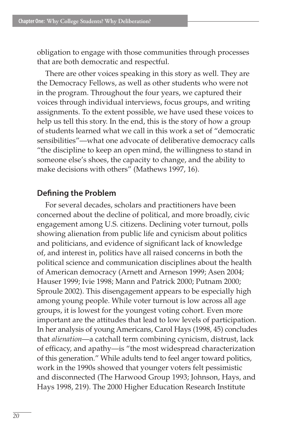obligation to engage with those communities through processes that are both democratic and respectful.

There are other voices speaking in this story as well. They are the Democracy Fellows, as well as other students who were not in the program. Throughout the four years, we captured their voices through individual interviews, focus groups, and writing assignments. To the extent possible, we have used these voices to help us tell this story. In the end, this is the story of how a group of students learned what we call in this work a set of "democratic sensibilities"—what one advocate of deliberative democracy calls "the discipline to keep an open mind, the willingness to stand in someone else's shoes, the capacity to change, and the ability to make decisions with others" (Mathews 1997, 16).

#### **Defining the Problem**

For several decades, scholars and practitioners have been concerned about the decline of political, and more broadly, civic engagement among U.S. citizens. Declining voter turnout, polls showing alienation from public life and cynicism about politics and politicians, and evidence of significant lack of knowledge of, and interest in, politics have all raised concerns in both the political science and communication disciplines about the health of American democracy (Arnett and Arneson 1999; Asen 2004; Hauser 1999; Ivie 1998; Mann and Patrick 2000; Putnam 2000; Sproule 2002). This disengagement appears to be especially high among young people. While voter turnout is low across all age groups, it is lowest for the youngest voting cohort. Even more important are the attitudes that lead to low levels of participation. In her analysis of young Americans, Carol Hays (1998, 45) concludes that *alienation*—a catchall term combining cynicism, distrust, lack of efficacy, and apathy—is "the most widespread characterization of this generation." While adults tend to feel anger toward politics, work in the 1990s showed that younger voters felt pessimistic and disconnected (The Harwood Group 1993; Johnson, Hays, and Hays 1998, 219). The 2000 Higher Education Research Institute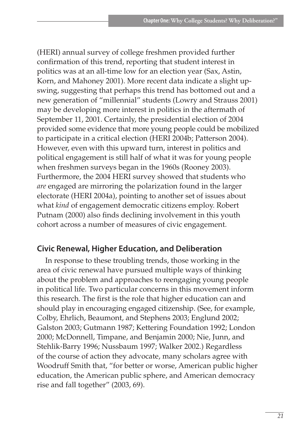(HERI) annual survey of college freshmen provided further confirmation of this trend, reporting that student interest in politics was at an all-time low for an election year (Sax, Astin, Korn, and Mahoney 2001). More recent data indicate a slight upswing, suggesting that perhaps this trend has bottomed out and a new generation of "millennial" students (Lowry and Strauss 2001) may be developing more interest in politics in the aftermath of September 11, 2001. Certainly, the presidential election of 2004 provided some evidence that more young people could be mobilized to participate in a critical election (HERI 2004b; Patterson 2004). However, even with this upward turn, interest in politics and political engagement is still half of what it was for young people when freshmen surveys began in the 1960s (Rooney 2003). Furthermore, the 2004 HERI survey showed that students who *are* engaged are mirroring the polarization found in the larger electorate (HERI 2004a), pointing to another set of issues about what *kind* of engagement democratic citizens employ. Robert Putnam (2000) also finds declining involvement in this youth cohort across a number of measures of civic engagement.

#### **Civic Renewal, Higher Education, and Deliberation**

In response to these troubling trends, those working in the area of civic renewal have pursued multiple ways of thinking about the problem and approaches to reengaging young people in political life. Two particular concerns in this movement inform this research. The first is the role that higher education can and should play in encouraging engaged citizenship. (See, for example, Colby, Ehrlich, Beaumont, and Stephens 2003; Englund 2002; Galston 2003; Gutmann 1987; Kettering Foundation 1992; London 2000; McDonnell, Timpane, and Benjamin 2000; Nie, Junn, and Stehlik-Barry 1996; Nussbaum 1997; Walker 2002.) Regardless of the course of action they advocate, many scholars agree with Woodruff Smith that, "for better or worse, American public higher education, the American public sphere, and American democracy rise and fall together" (2003, 69).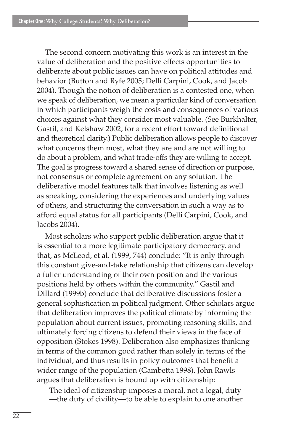The second concern motivating this work is an interest in the value of deliberation and the positive effects opportunities to deliberate about public issues can have on political attitudes and behavior (Button and Ryfe 2005; Delli Carpini, Cook, and Jacob 2004). Though the notion of deliberation is a contested one, when we speak of deliberation, we mean a particular kind of conversation in which participants weigh the costs and consequences of various choices against what they consider most valuable. (See Burkhalter, Gastil, and Kelshaw 2002, for a recent effort toward definitional and theoretical clarity.) Public deliberation allows people to discover what concerns them most, what they are and are not willing to do about a problem, and what trade-offs they are willing to accept. The goal is progress toward a shared sense of direction or purpose, not consensus or complete agreement on any solution. The deliberative model features talk that involves listening as well as speaking, considering the experiences and underlying values of others, and structuring the conversation in such a way as to afford equal status for all participants (Delli Carpini, Cook, and Jacobs 2004).

Most scholars who support public deliberation argue that it is essential to a more legitimate participatory democracy, and that, as McLeod, et al. (1999, 744) conclude: "It is only through this constant give-and-take relationship that citizens can develop a fuller understanding of their own position and the various positions held by others within the community." Gastil and Dillard (1999b) conclude that deliberative discussions foster a general sophistication in political judgment. Other scholars argue that deliberation improves the political climate by informing the population about current issues, promoting reasoning skills, and ultimately forcing citizens to defend their views in the face of opposition (Stokes 1998). Deliberation also emphasizes thinking in terms of the common good rather than solely in terms of the individual, and thus results in policy outcomes that benefit a wider range of the population (Gambetta 1998). John Rawls argues that deliberation is bound up with citizenship:

The ideal of citizenship imposes a moral, not a legal, duty —the duty of civility—to be able to explain to one another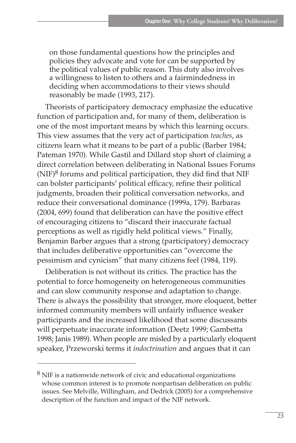on those fundamental questions how the principles and policies they advocate and vote for can be supported by the political values of public reason. This duty also involves a willingness to listen to others and a fairmindedness in deciding when accommodations to their views should reasonably be made (1993, 217).

Theorists of participatory democracy emphasize the educative function of participation and, for many of them, deliberation is one of the most important means by which this learning occurs. This view assumes that the very act of participation *teaches*, as citizens learn what it means to be part of a public (Barber 1984; Pateman 1970). While Gastil and Dillard stop short of claiming a direct correlation between deliberating in National Issues Forums  $(NIF)^8$  forums and political participation, they did find that NIF can bolster participants' political efficacy, refine their political judgments, broaden their political conversation networks, and reduce their conversational dominance (1999a, 179). Barbaras (2004, 699) found that deliberation can have the positive effect of encouraging citizens to "discard their inaccurate factual perceptions as well as rigidly held political views." Finally, Benjamin Barber argues that a strong (participatory) democracy that includes deliberative opportunities can "overcome the pessimism and cynicism" that many citizens feel (1984, 119).

Deliberation is not without its critics. The practice has the potential to force homogeneity on heterogeneous communities and can slow community response and adaptation to change. There is always the possibility that stronger, more eloquent, better informed community members will unfairly influence weaker participants and the increased likelihood that some discussants will perpetuate inaccurate information (Deetz 1999; Gambetta 1998; Janis 1989). When people are misled by a particularly eloquent speaker, Przeworski terms it *indoctrination* and argues that it can

 $8$  NIF is a nationwide network of civic and educational organizations whose common interest is to promote nonpartisan deliberation on public issues. See Melville, Willingham, and Dedrick (2005) for a comprehensive description of the function and impact of the NIF network.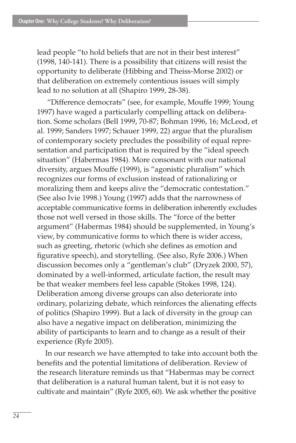lead people "to hold beliefs that are not in their best interest" (1998, 140-141). There is a possibility that citizens will resist the opportunity to deliberate (Hibbing and Theiss-Morse 2002) or that deliberation on extremely contentious issues will simply lead to no solution at all (Shapiro 1999, 28-38).

"Difference democrats" (see, for example, Mouffe 1999; Young 1997) have waged a particularly compelling attack on deliberation. Some scholars (Bell 1999, 70-87; Bohman 1996, 16; McLeod, et al. 1999; Sanders 1997; Schauer 1999, 22) argue that the pluralism of contemporary society precludes the possibility of equal representation and participation that is required by the "ideal speech situation" (Habermas 1984). More consonant with our national diversity, argues Mouffe (1999), is "agonistic pluralism" which recognizes our forms of exclusion instead of rationalizing or moralizing them and keeps alive the "democratic contestation." (See also Ivie 1998.) Young (1997) adds that the narrowness of acceptable communicative forms in deliberation inherently excludes those not well versed in those skills. The "force of the better argument" (Habermas 1984) should be supplemented, in Young's view, by communicative forms to which there is wider access, such as greeting, rhetoric (which she defines as emotion and figurative speech), and storytelling. (See also, Ryfe 2006.) When discussion becomes only a "gentleman's club" (Dryzek 2000, 57), dominated by a well-informed, articulate faction, the result may be that weaker members feel less capable (Stokes 1998, 124). Deliberation among diverse groups can also deteriorate into ordinary, polarizing debate, which reinforces the alienating effects of politics (Shapiro 1999). But a lack of diversity in the group can also have a negative impact on deliberation, minimizing the ability of participants to learn and to change as a result of their experience (Ryfe 2005).

In our research we have attempted to take into account both the benefits and the potential limitations of deliberation. Review of the research literature reminds us that "Habermas may be correct that deliberation is a natural human talent, but it is not easy to cultivate and maintain" (Ryfe 2005, 60). We ask whether the positive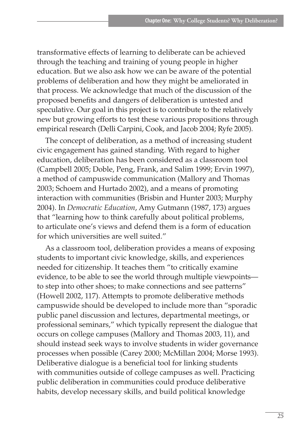transformative effects of learning to deliberate can be achieved through the teaching and training of young people in higher education. But we also ask how we can be aware of the potential problems of deliberation and how they might be ameliorated in that process. We acknowledge that much of the discussion of the proposed benefits and dangers of deliberation is untested and speculative. Our goal in this project is to contribute to the relatively new but growing efforts to test these various propositions through empirical research (Delli Carpini, Cook, and Jacob 2004; Ryfe 2005).

The concept of deliberation, as a method of increasing student civic engagement has gained standing. With regard to higher education, deliberation has been considered as a classroom tool (Campbell 2005; Doble, Peng, Frank, and Salim 1999; Ervin 1997), a method of campuswide communication (Mallory and Thomas 2003; Schoem and Hurtado 2002), and a means of promoting interaction with communities (Brisbin and Hunter 2003; Murphy 2004). In *Democratic Education*, Amy Gutmann (1987, 173) argues that "learning how to think carefully about political problems, to articulate one's views and defend them is a form of education for which universities are well suited."

As a classroom tool, deliberation provides a means of exposing students to important civic knowledge, skills, and experiences needed for citizenship. It teaches them "to critically examine evidence, to be able to see the world through multiple viewpoints to step into other shoes; to make connections and see patterns" (Howell 2002, 117). Attempts to promote deliberative methods campuswide should be developed to include more than "sporadic public panel discussion and lectures, departmental meetings, or professional seminars," which typically represent the dialogue that occurs on college campuses (Mallory and Thomas 2003, 11), and should instead seek ways to involve students in wider governance processes when possible (Carey 2000; McMillan 2004; Morse 1993). Deliberative dialogue is a beneficial tool for linking students with communities outside of college campuses as well. Practicing public deliberation in communities could produce deliberative habits, develop necessary skills, and build political knowledge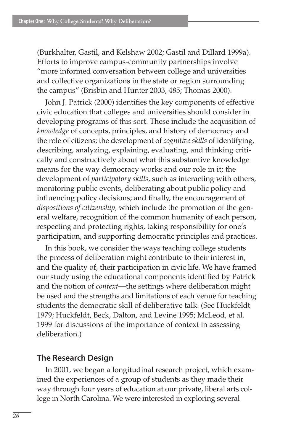(Burkhalter, Gastil, and Kelshaw 2002; Gastil and Dillard 1999a). Efforts to improve campus-community partnerships involve "more informed conversation between college and universities and collective organizations in the state or region surrounding the campus" (Brisbin and Hunter 2003, 485; Thomas 2000).

John J. Patrick (2000) identifies the key components of effective civic education that colleges and universities should consider in developing programs of this sort. These include the acquisition of *knowledge* of concepts, principles, and history of democracy and the role of citizens; the development of *cognitive skills* of identifying, describing, analyzing, explaining, evaluating, and thinking critically and constructively about what this substantive knowledge means for the way democracy works and our role in it; the development of *participatory skills*, such as interacting with others, monitoring public events, deliberating about public policy and influencing policy decisions; and finally, the encouragement of *dispositions of citizenship,* which include the promotion of the general welfare, recognition of the common humanity of each person, respecting and protecting rights, taking responsibility for one's participation, and supporting democratic principles and practices.

In this book, we consider the ways teaching college students the process of deliberation might contribute to their interest in, and the quality of, their participation in civic life. We have framed our study using the educational components identified by Patrick and the notion of *context*—the settings where deliberation might be used and the strengths and limitations of each venue for teaching students the democratic skill of deliberative talk. (See Huckfeldt 1979; Huckfeldt, Beck, Dalton, and Levine 1995; McLeod, et al. 1999 for discussions of the importance of context in assessing deliberation.)

#### **The Research Design**

In 2001, we began a longitudinal research project, which examined the experiences of a group of students as they made their way through four years of education at our private, liberal arts college in North Carolina. We were interested in exploring several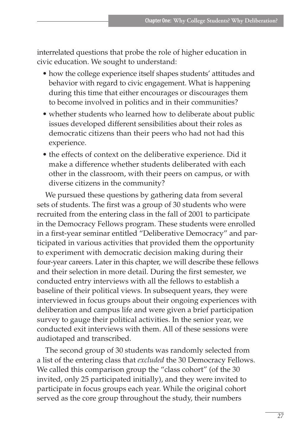interrelated questions that probe the role of higher education in civic education. We sought to understand:

- how the college experience itself shapes students' attitudes and behavior with regard to civic engagement. What is happening during this time that either encourages or discourages them to become involved in politics and in their communities?
- whether students who learned how to deliberate about public issues developed different sensibilities about their roles as democratic citizens than their peers who had not had this experience.
- the effects of context on the deliberative experience. Did it make a difference whether students deliberated with each other in the classroom, with their peers on campus, or with diverse citizens in the community?

We pursued these questions by gathering data from several sets of students. The first was a group of 30 students who were recruited from the entering class in the fall of 2001 to participate in the Democracy Fellows program. These students were enrolled in a first-year seminar entitled "Deliberative Democracy" and participated in various activities that provided them the opportunity to experiment with democratic decision making during their four-year careers. Later in this chapter, we will describe these fellows and their selection in more detail. During the first semester, we conducted entry interviews with all the fellows to establish a baseline of their political views. In subsequent years, they were interviewed in focus groups about their ongoing experiences with deliberation and campus life and were given a brief participation survey to gauge their political activities. In the senior year, we conducted exit interviews with them. All of these sessions were audiotaped and transcribed.

The second group of 30 students was randomly selected from a list of the entering class that *excluded* the 30 Democracy Fellows. We called this comparison group the "class cohort" (of the 30 invited, only 25 participated initially), and they were invited to participate in focus groups each year. While the original cohort served as the core group throughout the study, their numbers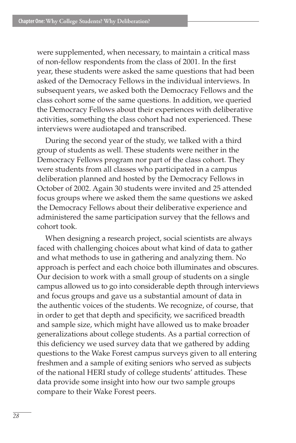were supplemented, when necessary, to maintain a critical mass of non-fellow respondents from the class of 2001. In the first year, these students were asked the same questions that had been asked of the Democracy Fellows in the individual interviews. In subsequent years, we asked both the Democracy Fellows and the class cohort some of the same questions. In addition, we queried the Democracy Fellows about their experiences with deliberative activities, something the class cohort had not experienced. These interviews were audiotaped and transcribed.

During the second year of the study, we talked with a third group of students as well. These students were neither in the Democracy Fellows program nor part of the class cohort. They were students from all classes who participated in a campus deliberation planned and hosted by the Democracy Fellows in October of 2002. Again 30 students were invited and 25 attended focus groups where we asked them the same questions we asked the Democracy Fellows about their deliberative experience and administered the same participation survey that the fellows and cohort took.

When designing a research project, social scientists are always faced with challenging choices about what kind of data to gather and what methods to use in gathering and analyzing them. No approach is perfect and each choice both illuminates and obscures. Our decision to work with a small group of students on a single campus allowed us to go into considerable depth through interviews and focus groups and gave us a substantial amount of data in the authentic voices of the students. We recognize, of course, that in order to get that depth and specificity, we sacrificed breadth and sample size, which might have allowed us to make broader generalizations about college students. As a partial correction of this deficiency we used survey data that we gathered by adding questions to the Wake Forest campus surveys given to all entering freshmen and a sample of exiting seniors who served as subjects of the national HERI study of college students' attitudes. These data provide some insight into how our two sample groups compare to their Wake Forest peers.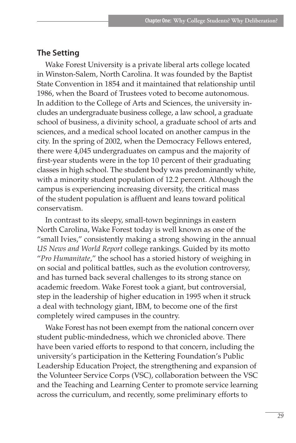#### **The Setting**

Wake Forest University is a private liberal arts college located in Winston-Salem, North Carolina. It was founded by the Baptist State Convention in 1854 and it maintained that relationship until 1986, when the Board of Trustees voted to become autonomous. In addition to the College of Arts and Sciences, the university includes an undergraduate business college, a law school, a graduate school of business, a divinity school, a graduate school of arts and sciences, and a medical school located on another campus in the city. In the spring of 2002, when the Democracy Fellows entered, there were 4,045 undergraduates on campus and the majority of first-year students were in the top 10 percent of their graduating classes in high school. The student body was predominantly white, with a minority student population of 12.2 percent. Although the campus is experiencing increasing diversity, the critical mass of the student population is affluent and leans toward political conservatism.

In contrast to its sleepy, small-town beginnings in eastern North Carolina, Wake Forest today is well known as one of the "small Ivies," consistently making a strong showing in the annual *US News and World Report* college rankings. Guided by its motto "*Pro Humanitate*," the school has a storied history of weighing in on social and political battles, such as the evolution controversy, and has turned back several challenges to its strong stance on academic freedom. Wake Forest took a giant, but controversial, step in the leadership of higher education in 1995 when it struck a deal with technology giant, IBM, to become one of the first completely wired campuses in the country.

Wake Forest has not been exempt from the national concern over student public-mindedness, which we chronicled above. There have been varied efforts to respond to that concern, including the university's participation in the Kettering Foundation's Public Leadership Education Project, the strengthening and expansion of the Volunteer Service Corps (VSC), collaboration between the VSC and the Teaching and Learning Center to promote service learning across the curriculum, and recently, some preliminary efforts to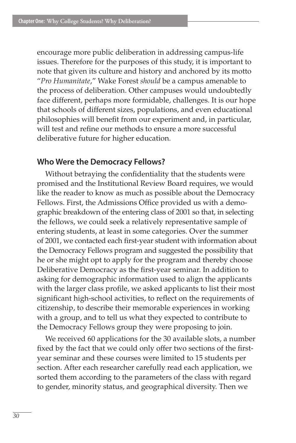encourage more public deliberation in addressing campus-life issues. Therefore for the purposes of this study, it is important to note that given its culture and history and anchored by its motto "*Pro Humanitate*," Wake Forest *should* be a campus amenable to the process of deliberation. Other campuses would undoubtedly face different, perhaps more formidable, challenges. It is our hope that schools of different sizes, populations, and even educational philosophies will benefit from our experiment and, in particular, will test and refine our methods to ensure a more successful deliberative future for higher education.

#### **Who Were the Democracy Fellows?**

Without betraying the confidentiality that the students were promised and the Institutional Review Board requires, we would like the reader to know as much as possible about the Democracy Fellows. First, the Admissions Office provided us with a demographic breakdown of the entering class of 2001 so that, in selecting the fellows, we could seek a relatively representative sample of entering students, at least in some categories. Over the summer of 2001, we contacted each first-year student with information about the Democracy Fellows program and suggested the possibility that he or she might opt to apply for the program and thereby choose Deliberative Democracy as the first-year seminar. In addition to asking for demographic information used to align the applicants with the larger class profile, we asked applicants to list their most significant high-school activities, to reflect on the requirements of citizenship, to describe their memorable experiences in working with a group, and to tell us what they expected to contribute to the Democracy Fellows group they were proposing to join.

We received 60 applications for the 30 available slots, a number fixed by the fact that we could only offer two sections of the firstyear seminar and these courses were limited to 15 students per section. After each researcher carefully read each application, we sorted them according to the parameters of the class with regard to gender, minority status, and geographical diversity. Then we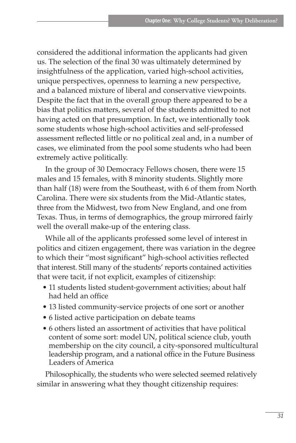considered the additional information the applicants had given us. The selection of the final 30 was ultimately determined by insightfulness of the application, varied high-school activities, unique perspectives, openness to learning a new perspective, and a balanced mixture of liberal and conservative viewpoints. Despite the fact that in the overall group there appeared to be a bias that politics matters, several of the students admitted to not having acted on that presumption. In fact, we intentionally took some students whose high-school activities and self-professed assessment reflected little or no political zeal and, in a number of cases, we eliminated from the pool some students who had been extremely active politically.

In the group of 30 Democracy Fellows chosen, there were 15 males and 15 females, with 8 minority students. Slightly more than half (18) were from the Southeast, with 6 of them from North Carolina. There were six students from the Mid-Atlantic states, three from the Midwest, two from New England, and one from Texas. Thus, in terms of demographics, the group mirrored fairly well the overall make-up of the entering class.

While all of the applicants professed some level of interest in politics and citizen engagement, there was variation in the degree to which their "most significant" high-school activities reflected that interest. Still many of the students' reports contained activities that were tacit, if not explicit, examples of citizenship:

- 11 students listed student-government activities; about half had held an office
- 13 listed community-service projects of one sort or another
- 6 listed active participation on debate teams
- 6 others listed an assortment of activities that have political content of some sort: model UN, political science club, youth membership on the city council, a city-sponsored multicultural leadership program, and a national office in the Future Business Leaders of America

Philosophically, the students who were selected seemed relatively similar in answering what they thought citizenship requires: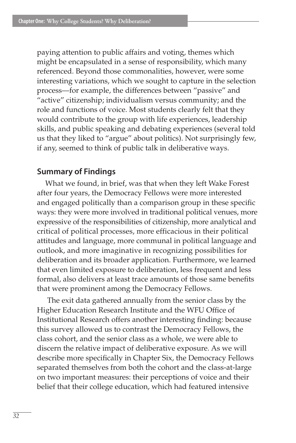paying attention to public affairs and voting, themes which might be encapsulated in a sense of responsibility, which many referenced. Beyond those commonalities, however, were some interesting variations, which we sought to capture in the selection process—for example, the differences between "passive" and "active" citizenship; individualism versus community; and the role and functions of voice. Most students clearly felt that they would contribute to the group with life experiences, leadership skills, and public speaking and debating experiences (several told us that they liked to "argue" about politics). Not surprisingly few, if any, seemed to think of public talk in deliberative ways.

#### **Summary of Findings**

What we found, in brief, was that when they left Wake Forest after four years, the Democracy Fellows were more interested and engaged politically than a comparison group in these specific ways: they were more involved in traditional political venues, more expressive of the responsibilities of citizenship, more analytical and critical of political processes, more efficacious in their political attitudes and language, more communal in political language and outlook, and more imaginative in recognizing possibilities for deliberation and its broader application. Furthermore, we learned that even limited exposure to deliberation, less frequent and less formal, also delivers at least trace amounts of those same benefits that were prominent among the Democracy Fellows.

The exit data gathered annually from the senior class by the Higher Education Research Institute and the WFU Office of Institutional Research offers another interesting finding: because this survey allowed us to contrast the Democracy Fellows, the class cohort, and the senior class as a whole, we were able to discern the relative impact of deliberative exposure. As we will describe more specifically in Chapter Six, the Democracy Fellows separated themselves from both the cohort and the class-at-large on two important measures: their perceptions of voice and their belief that their college education, which had featured intensive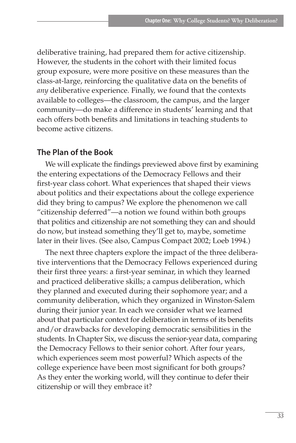deliberative training, had prepared them for active citizenship. However, the students in the cohort with their limited focus group exposure, were more positive on these measures than the class-at-large, reinforcing the qualitative data on the benefits of *any* deliberative experience. Finally, we found that the contexts available to colleges—the classroom, the campus, and the larger community—do make a difference in students' learning and that each offers both benefits and limitations in teaching students to become active citizens.

#### **The Plan of the Book**

We will explicate the findings previewed above first by examining the entering expectations of the Democracy Fellows and their first-year class cohort. What experiences that shaped their views about politics and their expectations about the college experience did they bring to campus? We explore the phenomenon we call "citizenship deferred"—a notion we found within both groups that politics and citizenship are not something they can and should do now, but instead something they'll get to, maybe, sometime later in their lives. (See also, Campus Compact 2002; Loeb 1994.)

The next three chapters explore the impact of the three deliberative interventions that the Democracy Fellows experienced during their first three years: a first-year seminar, in which they learned and practiced deliberative skills; a campus deliberation, which they planned and executed during their sophomore year; and a community deliberation, which they organized in Winston-Salem during their junior year. In each we consider what we learned about that particular context for deliberation in terms of its benefits and/or drawbacks for developing democratic sensibilities in the students. In Chapter Six, we discuss the senior-year data, comparing the Democracy Fellows to their senior cohort. After four years, which experiences seem most powerful? Which aspects of the college experience have been most significant for both groups? As they enter the working world, will they continue to defer their citizenship or will they embrace it?